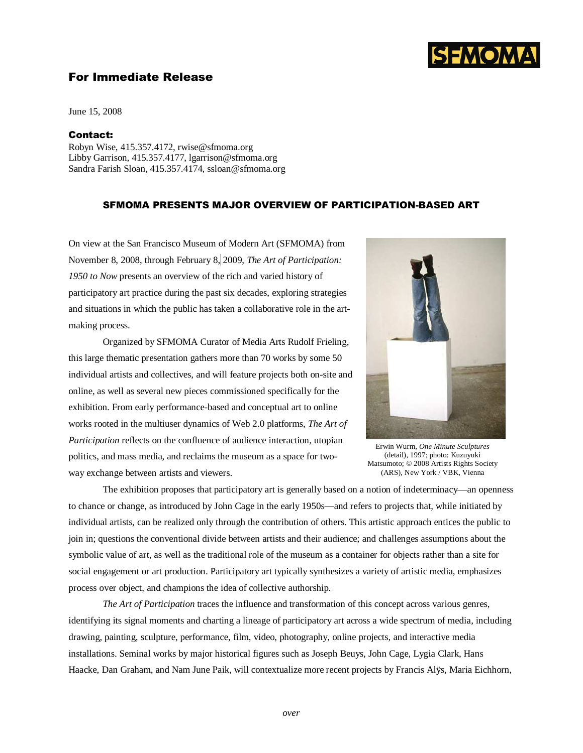

# For Immediate Release

June 15, 2008

### Contact:

Robyn Wise, 415.357.4172, rwise@sfmoma.org Libby Garrison, 415.357.4177, lgarrison@sfmoma.org Sandra Farish Sloan, 415.357.4174, ssloan@sfmoma.org

## SFMOMA PRESENTS MAJOR OVERVIEW OF PARTICIPATION-BASED ART

On view at the San Francisco Museum of Modern Art (SFMOMA) from November 8, 2008, through February 8, 2009, *The Art of Participation: 1950 to Now* presents an overview of the rich and varied history of participatory art practice during the past six decades, exploring strategies and situations in which the public has taken a collaborative role in the artmaking process.

Organized by SFMOMA Curator of Media Arts Rudolf Frieling, this large thematic presentation gathers more than 70 works by some 50 individual artists and collectives, and will feature projects both on-site and online, as well as several new pieces commissioned specifically for the exhibition. From early performance-based and conceptual art to online works rooted in the multiuser dynamics of Web 2.0 platforms, *The Art of Participation* reflects on the confluence of audience interaction, utopian politics, and mass media, and reclaims the museum as a space for twoway exchange between artists and viewers.



Erwin Wurm, *One Minute Sculptures*  (detail), 1997; photo: Kuzuyuki Matsumoto; © 2008 Artists Rights Society (ARS), New York / VBK, Vienna

The exhibition proposes that participatory art is generally based on a notion of indeterminacy—an openness to chance or change, as introduced by John Cage in the early 1950s—and refers to projects that, while initiated by individual artists, can be realized only through the contribution of others. This artistic approach entices the public to join in; questions the conventional divide between artists and their audience; and challenges assumptions about the symbolic value of art, as well as the traditional role of the museum as a container for objects rather than a site for social engagement or art production. Participatory art typically synthesizes a variety of artistic media, emphasizes process over object, and champions the idea of collective authorship.

*The Art of Participation* traces the influence and transformation of this concept across various genres, identifying its signal moments and charting a lineage of participatory art across a wide spectrum of media, including drawing, painting, sculpture, performance, film, video, photography, online projects, and interactive media installations. Seminal works by major historical figures such as Joseph Beuys, John Cage, Lygia Clark, Hans Haacke, Dan Graham, and Nam June Paik, will contextualize more recent projects by Francis Alÿs, Maria Eichhorn,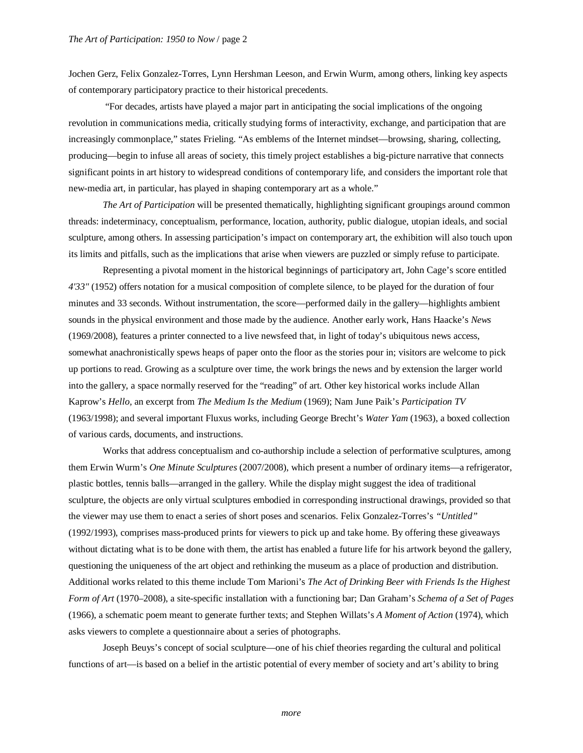Jochen Gerz, Felix Gonzalez-Torres, Lynn Hershman Leeson, and Erwin Wurm, among others, linking key aspects of contemporary participatory practice to their historical precedents.

 "For decades, artists have played a major part in anticipating the social implications of the ongoing revolution in communications media, critically studying forms of interactivity, exchange, and participation that are increasingly commonplace," states Frieling. "As emblems of the Internet mindset—browsing, sharing, collecting, producing—begin to infuse all areas of society, this timely project establishes a big-picture narrative that connects significant points in art history to widespread conditions of contemporary life, and considers the important role that new-media art, in particular, has played in shaping contemporary art as a whole."

*The Art of Participation* will be presented thematically, highlighting significant groupings around common threads: indeterminacy, conceptualism, performance, location, authority, public dialogue, utopian ideals, and social sculpture, among others. In assessing participation's impact on contemporary art, the exhibition will also touch upon its limits and pitfalls, such as the implications that arise when viewers are puzzled or simply refuse to participate.

Representing a pivotal moment in the historical beginnings of participatory art, John Cage's score entitled *4'33"* (1952) offers notation for a musical composition of complete silence, to be played for the duration of four minutes and 33 seconds. Without instrumentation, the score—performed daily in the gallery—highlights ambient sounds in the physical environment and those made by the audience. Another early work, Hans Haacke's *News*  (1969/2008), features a printer connected to a live newsfeed that, in light of today's ubiquitous news access, somewhat anachronistically spews heaps of paper onto the floor as the stories pour in; visitors are welcome to pick up portions to read. Growing as a sculpture over time, the work brings the news and by extension the larger world into the gallery, a space normally reserved for the "reading" of art. Other key historical works include Allan Kaprow's *Hello,* an excerpt from *The Medium Is the Medium* (1969); Nam June Paik's *Participation TV* (1963/1998); and several important Fluxus works, including George Brecht's *Water Yam* (1963), a boxed collection of various cards, documents, and instructions.

Works that address conceptualism and co-authorship include a selection of performative sculptures, among them Erwin Wurm's *One Minute Sculptures* (2007/2008), which present a number of ordinary items—a refrigerator, plastic bottles, tennis balls—arranged in the gallery. While the display might suggest the idea of traditional sculpture, the objects are only virtual sculptures embodied in corresponding instructional drawings, provided so that the viewer may use them to enact a series of short poses and scenarios. Felix Gonzalez-Torres's *"Untitled"*  (1992/1993), comprises mass-produced prints for viewers to pick up and take home. By offering these giveaways without dictating what is to be done with them, the artist has enabled a future life for his artwork beyond the gallery, questioning the uniqueness of the art object and rethinking the museum as a place of production and distribution. Additional works related to this theme include Tom Marioni's *The Act of Drinking Beer with Friends Is the Highest Form of Art* (1970–2008), a site-specific installation with a functioning bar; Dan Graham's *Schema of a Set of Pages*  (1966), a schematic poem meant to generate further texts; and Stephen Willats's *A Moment of Action* (1974), which asks viewers to complete a questionnaire about a series of photographs.

Joseph Beuys's concept of social sculpture—one of his chief theories regarding the cultural and political functions of art—is based on a belief in the artistic potential of every member of society and art's ability to bring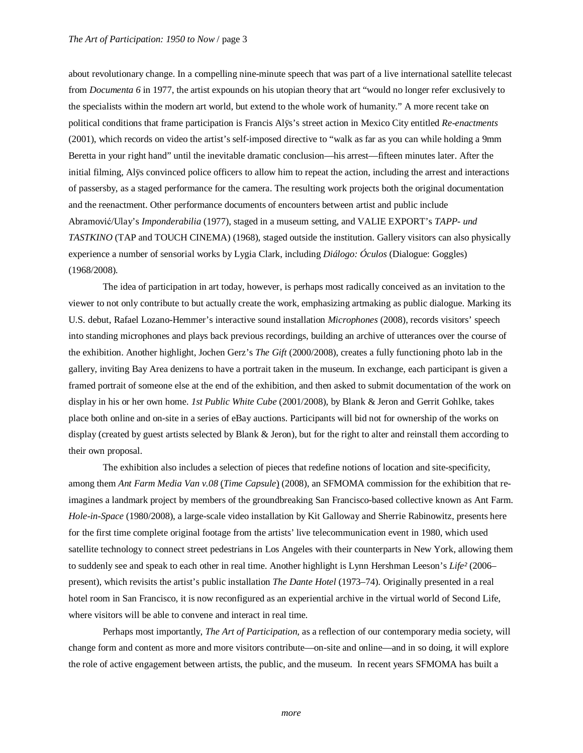about revolutionary change. In a compelling nine-minute speech that was part of a live international satellite telecast from *Documenta 6* in 1977, the artist expounds on his utopian theory that art "would no longer refer exclusively to the specialists within the modern art world, but extend to the whole work of humanity." A more recent take on political conditions that frame participation is Francis Alÿs's street action in Mexico City entitled *Re-enactments* (2001), which records on video the artist's self-imposed directive to "walk as far as you can while holding a 9mm Beretta in your right hand" until the inevitable dramatic conclusion—his arrest—fifteen minutes later. After the initial filming, Alÿs convinced police officers to allow him to repeat the action, including the arrest and interactions of passersby, as a staged performance for the camera. The resulting work projects both the original documentation and the reenactment. Other performance documents of encounters between artist and public include Abramović/Ulay's *Imponderabilia* (1977), staged in a museum setting, and VALIE EXPORT's *TAPP- und TASTKINO* (TAP and TOUCH CINEMA) (1968), staged outside the institution. Gallery visitors can also physically experience a number of sensorial works by Lygia Clark, including *Diálogo: Óculos* (Dialogue: Goggles) (1968/2008).

The idea of participation in art today, however, is perhaps most radically conceived as an invitation to the viewer to not only contribute to but actually create the work, emphasizing artmaking as public dialogue. Marking its U.S. debut, Rafael Lozano-Hemmer's interactive sound installation *Microphones* (2008), records visitors' speech into standing microphones and plays back previous recordings, building an archive of utterances over the course of the exhibition. Another highlight, Jochen Gerz's *The Gift* (2000/2008), creates a fully functioning photo lab in the gallery, inviting Bay Area denizens to have a portrait taken in the museum. In exchange, each participant is given a framed portrait of someone else at the end of the exhibition, and then asked to submit documentation of the work on display in his or her own home. *1st Public White Cube* (2001/2008), by Blank & Jeron and Gerrit Gohlke, takes place both online and on-site in a series of eBay auctions. Participants will bid not for ownership of the works on display (created by guest artists selected by Blank & Jeron), but for the right to alter and reinstall them according to their own proposal.

The exhibition also includes a selection of pieces that redefine notions of location and site-specificity, among them *Ant Farm Media Van v.08* (*Time Capsule*) (2008), an SFMOMA commission for the exhibition that reimagines a landmark project by members of the groundbreaking San Francisco-based collective known as Ant Farm. *Hole-in-Space* (1980/2008), a large-scale video installation by Kit Galloway and Sherrie Rabinowitz, presents here for the first time complete original footage from the artists' live telecommunication event in 1980, which used satellite technology to connect street pedestrians in Los Angeles with their counterparts in New York, allowing them to suddenly see and speak to each other in real time. Another highlight is Lynn Hershman Leeson's *Life²* (2006– present), which revisits the artist's public installation *The Dante Hotel* (1973–74). Originally presented in a real hotel room in San Francisco, it is now reconfigured as an experiential archive in the virtual world of Second Life, where visitors will be able to convene and interact in real time.

Perhaps most importantly, *The Art of Participation,* as a reflection of our contemporary media society, will change form and content as more and more visitors contribute—on-site and online—and in so doing, it will explore the role of active engagement between artists, the public, and the museum. In recent years SFMOMA has built a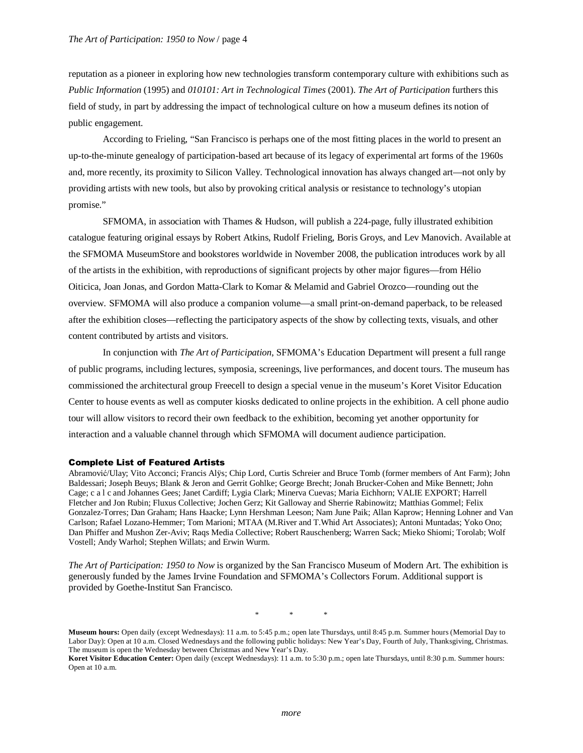reputation as a pioneer in exploring how new technologies transform contemporary culture with exhibitions such as *Public Information* (1995) and *010101: Art in Technological Times* (2001). *The Art of Participation* furthers this field of study, in part by addressing the impact of technological culture on how a museum defines its notion of public engagement.

According to Frieling, "San Francisco is perhaps one of the most fitting places in the world to present an up-to-the-minute genealogy of participation-based art because of its legacy of experimental art forms of the 1960s and, more recently, its proximity to Silicon Valley. Technological innovation has always changed art—not only by providing artists with new tools, but also by provoking critical analysis or resistance to technology's utopian promise."

SFMOMA, in association with Thames & Hudson, will publish a 224-page, fully illustrated exhibition catalogue featuring original essays by Robert Atkins, Rudolf Frieling, Boris Groys, and Lev Manovich. Available at the SFMOMA MuseumStore and bookstores worldwide in November 2008, the publication introduces work by all of the artists in the exhibition, with reproductions of significant projects by other major figures—from Hélio Oiticica, Joan Jonas, and Gordon Matta-Clark to Komar & Melamid and Gabriel Orozco—rounding out the overview. SFMOMA will also produce a companion volume—a small print-on-demand paperback, to be released after the exhibition closes—reflecting the participatory aspects of the show by collecting texts, visuals, and other content contributed by artists and visitors.

In conjunction with *The Art of Participation*, SFMOMA's Education Department will present a full range of public programs, including lectures, symposia, screenings, live performances, and docent tours. The museum has commissioned the architectural group Freecell to design a special venue in the museum's Koret Visitor Education Center to house events as well as computer kiosks dedicated to online projects in the exhibition. A cell phone audio tour will allow visitors to record their own feedback to the exhibition, becoming yet another opportunity for interaction and a valuable channel through which SFMOMA will document audience participation.

#### Complete List of Featured Artists

Abramović/Ulay; Vito Acconci; Francis Alÿs; Chip Lord, Curtis Schreier and Bruce Tomb (former members of Ant Farm); John Baldessari; Joseph Beuys; Blank & Jeron and Gerrit Gohlke; George Brecht; Jonah Brucker-Cohen and Mike Bennett; John Cage; c a l c and Johannes Gees; Janet Cardiff; Lygia Clark; Minerva Cuevas; Maria Eichhorn; VALIE EXPORT; Harrell Fletcher and Jon Rubin; Fluxus Collective; Jochen Gerz; Kit Galloway and Sherrie Rabinowitz; Matthias Gommel; Felix Gonzalez-Torres; Dan Graham; Hans Haacke; Lynn Hershman Leeson; Nam June Paik; Allan Kaprow; Henning Lohner and Van Carlson; Rafael Lozano-Hemmer; Tom Marioni; MTAA (M.River and T.Whid Art Associates); Antoni Muntadas; Yoko Ono; Dan Phiffer and Mushon Zer-Aviv; Raqs Media Collective; Robert Rauschenberg; Warren Sack; Mieko Shiomi; Torolab; Wolf Vostell; Andy Warhol; Stephen Willats; and Erwin Wurm.

*The Art of Participation: 1950 to Now* is organized by the San Francisco Museum of Modern Art. The exhibition is generously funded by the James Irvine Foundation and SFMOMA's Collectors Forum. Additional support is provided by Goethe-Institut San Francisco.

\* \* \*

**Museum hours:** Open daily (except Wednesdays): 11 a.m. to 5:45 p.m.; open late Thursdays, until 8:45 p.m. Summer hours (Memorial Day to Labor Day): Open at 10 a.m. Closed Wednesdays and the following public holidays: New Year's Day, Fourth of July, Thanksgiving, Christmas. The museum is open the Wednesday between Christmas and New Year's Day.

**Koret Visitor Education Center:** Open daily (except Wednesdays): 11 a.m. to 5:30 p.m.; open late Thursdays, until 8:30 p.m. Summer hours: Open at 10 a.m.